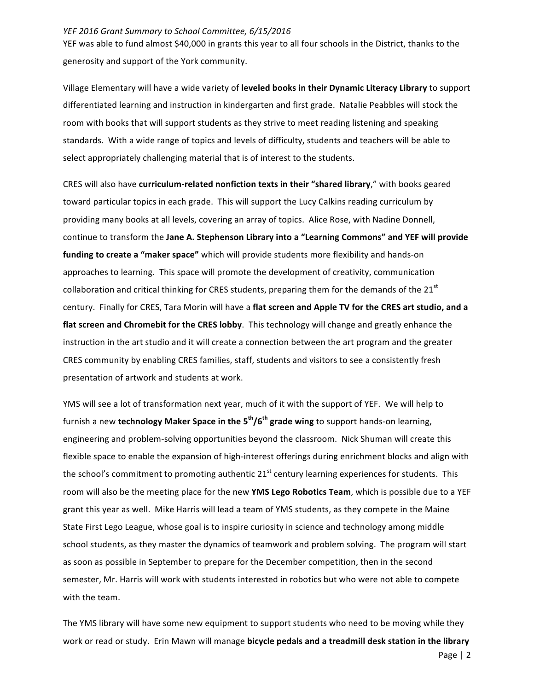## YEF 2016 Grant Summary to School Committee, 6/15/2016

YEF was able to fund almost \$40,000 in grants this year to all four schools in the District, thanks to the generosity and support of the York community.

Village Elementary will have a wide variety of **leveled books in their Dynamic Literacy Library** to support differentiated learning and instruction in kindergarten and first grade. Natalie Peabbles will stock the room with books that will support students as they strive to meet reading listening and speaking standards. With a wide range of topics and levels of difficulty, students and teachers will be able to select appropriately challenging material that is of interest to the students.

CRES will also have curriculum-related nonfiction texts in their "shared library," with books geared toward particular topics in each grade. This will support the Lucy Calkins reading curriculum by providing many books at all levels, covering an array of topics. Alice Rose, with Nadine Donnell, continue to transform the **Jane A. Stephenson Library into a "Learning Commons" and YEF will provide funding to create a "maker space"** which will provide students more flexibility and hands-on approaches to learning. This space will promote the development of creativity, communication collaboration and critical thinking for CRES students, preparing them for the demands of the  $21<sup>st</sup>$ century. Finally for CRES, Tara Morin will have a flat screen and Apple TV for the CRES art studio, and a **flat screen and Chromebit for the CRES lobby**. This technology will change and greatly enhance the instruction in the art studio and it will create a connection between the art program and the greater CRES community by enabling CRES families, staff, students and visitors to see a consistently fresh presentation of artwork and students at work.

YMS will see a lot of transformation next year, much of it with the support of YEF. We will help to furnish a new **technology Maker Space in the 5<sup>th</sup>/6<sup>th</sup> grade wing** to support hands-on learning, engineering and problem-solving opportunities beyond the classroom. Nick Shuman will create this flexible space to enable the expansion of high-interest offerings during enrichment blocks and align with the school's commitment to promoting authentic  $21^{st}$  century learning experiences for students. This room will also be the meeting place for the new **YMS Lego Robotics Team**, which is possible due to a YEF grant this year as well. Mike Harris will lead a team of YMS students, as they compete in the Maine State First Lego League, whose goal is to inspire curiosity in science and technology among middle school students, as they master the dynamics of teamwork and problem solving. The program will start as soon as possible in September to prepare for the December competition, then in the second semester, Mr. Harris will work with students interested in robotics but who were not able to compete with the team.

The YMS library will have some new equipment to support students who need to be moving while they work or read or study. Erin Mawn will manage bicycle pedals and a treadmill desk station in the library